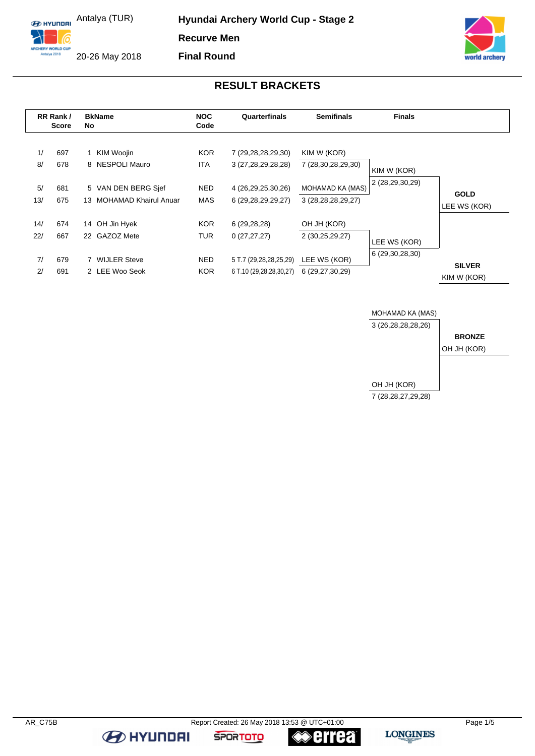**E HYLINDRI** Antalya (TUR)

**Hyundai Archery World Cup - Stage 2 Recurve Men Final Round**



### **RESULT BRACKETS**

|           | RR Rank/<br><b>Score</b> | <b>BkName</b><br>No.                            | <b>NOC</b><br>Code       | Quarterfinals                                     | <b>Semifinals</b>                          | <b>Finals</b>                   |                              |
|-----------|--------------------------|-------------------------------------------------|--------------------------|---------------------------------------------------|--------------------------------------------|---------------------------------|------------------------------|
| 1/<br>8/  | 697<br>678               | KIM Woojin<br>8 NESPOLI Mauro                   | KOR.<br>ITA.             | 7 (29,28,28,29,30)<br>3 (27,28,29,28,28)          | KIM W (KOR)<br>7 (28,30,28,29,30)          | KIM W (KOR)                     |                              |
| 5/<br>13/ | 681<br>675               | 5 VAN DEN BERG Sjef<br>13 MOHAMAD Khairul Anuar | <b>NED</b><br><b>MAS</b> | 4 (26,29,25,30,26)<br>6 (29, 28, 29, 29, 27)      | MOHAMAD KA (MAS)<br>3 (28, 28, 28, 29, 27) | 2 (28,29,30,29)                 | <b>GOLD</b><br>LEE WS (KOR)  |
| 14/       | 674                      | OH Jin Hyek<br>14                               | KOR.                     | 6(29, 28, 28)                                     | OH JH (KOR)                                |                                 |                              |
| 22/       | 667                      | 22 GAZOZ Mete                                   | <b>TUR</b>               | 0(27, 27, 27)                                     | 2 (30,25,29,27)                            | LEE WS (KOR)<br>6 (29,30,28,30) |                              |
| 7/<br>2/  | 679<br>691               | 7 WIJLER Steve<br>2 LEE Woo Seok                | <b>NED</b><br><b>KOR</b> | 5 T.7 (29,28,28,25,29)<br>6 T.10 (29,28,28,30,27) | LEE WS (KOR)<br>6 (29,27,30,29)            |                                 | <b>SILVER</b><br>KIM W (KOR) |



ARCHERY WORLD CUF<br>Antalya 2018 20-26 May 2018

6

**B** HYUNDAI

**SPORTOTO** 

**errea**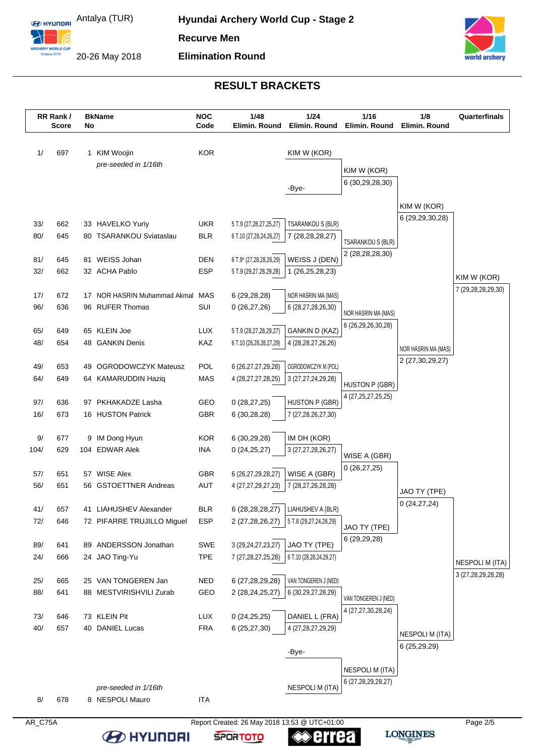**E** HYUNDELLAND Antalya (TUR)

6

ARCHERY WORLD CUP

20-26 May 2018



# **RESULT BRACKETS**

|            | RR Rank/<br><b>Score</b> | No | <b>BkName</b>                               | <b>NOC</b><br>Code       | 1/48<br>Elimin. Round                             | 1/24<br>Elimin. Round               | 1/16<br>Elimin. Round                      | 1/8<br>Elimin. Round                   | Quarterfinals          |
|------------|--------------------------|----|---------------------------------------------|--------------------------|---------------------------------------------------|-------------------------------------|--------------------------------------------|----------------------------------------|------------------------|
|            |                          |    |                                             |                          |                                                   |                                     |                                            |                                        |                        |
| 1/         | 697                      |    | 1 KIM Woojin<br>pre-seeded in 1/16th        | <b>KOR</b>               |                                                   | KIM W (KOR)                         |                                            |                                        |                        |
|            |                          |    |                                             |                          |                                                   |                                     | KIM W (KOR)                                |                                        |                        |
|            |                          |    |                                             |                          |                                                   | -Bye-                               | 6 (30,29,28,30)                            |                                        |                        |
|            |                          |    |                                             |                          |                                                   |                                     |                                            | KIM W (KOR)                            |                        |
|            |                          |    |                                             |                          |                                                   |                                     |                                            | 6 (29, 29, 30, 28)                     |                        |
| 33/<br>80/ | 662<br>645               |    | 33 HAVELKO Yuriy<br>80 TSARANKOU Sviataslau | <b>UKR</b><br><b>BLR</b> | 5 T.9 (27,28,27,25,27)<br>6 T.10 (27,28,24,26,27) | TSARANKOU S (BLR)                   |                                            |                                        |                        |
|            |                          |    |                                             |                          |                                                   | 7 (28, 28, 28, 27)                  | TSARANKOU S (BLR)                          |                                        |                        |
| 81/        | 645                      |    | 81 WEISS Johan                              | <b>DEN</b>               | 6 T.9* (27,28,28,26,29)                           | WEISS J (DEN)                       | 2 (28,28,28,30)                            |                                        |                        |
| 32/        | 662                      |    | 32 ACHA Pablo                               | <b>ESP</b>               | 5 T.9 (29,27,28,29,28)                            | 1 (26,25,28,23)                     |                                            |                                        | KIM W (KOR)            |
|            |                          |    |                                             |                          |                                                   |                                     |                                            |                                        | 7 (29,28,28,29,30)     |
| 17/        | 672                      |    | 17 NOR HASRIN Muhammad Akmal                | MAS                      | 6 (29,28,28)                                      | NOR HASRIN MA (MAS)                 |                                            |                                        |                        |
| 96/        | 636                      |    | 96 RUFER Thomas                             | SUI                      | 0(26, 27, 26)                                     | 6 (28,27,28,26,30)                  | NOR HASRIN MA (MAS)                        |                                        |                        |
| 65/        | 649                      |    | 65 KLEIN Joe                                | <b>LUX</b>               | 5 T.9 (28,27,28,29,27)                            | <b>GANKIN D (KAZ)</b>               | 6 (26,29,26,30,28)                         |                                        |                        |
| 48/        | 654                      |    | 48 GANKIN Denis                             | KAZ                      | 6 T.10 (26,28,28,27,29)                           | 4 (28, 28, 27, 26, 26)              |                                            |                                        |                        |
|            |                          |    |                                             |                          |                                                   |                                     |                                            | NOR HASRIN MA (MAS)<br>2 (27,30,29,27) |                        |
| 49/        | 653                      | 49 | <b>OGRODOWCZYK Mateusz</b>                  | POL                      | 6 (26,27,27,29,28)                                | OGRODOWCZYK M (POL)                 |                                            |                                        |                        |
| 64/        | 649                      |    | 64 KAMARUDDIN Haziq                         | MAS                      | 4 (28, 27, 27, 28, 25)                            | 3 (27, 27, 24, 29, 28)              | <b>HUSTON P (GBR)</b>                      |                                        |                        |
| 97/        | 636                      |    | 97 PKHAKADZE Lasha                          | GEO                      | 0(28, 27, 25)                                     | <b>HUSTON P (GBR)</b>               | 4 (27, 25, 27, 25, 25)                     |                                        |                        |
| 16/        | 673                      |    | 16 HUSTON Patrick                           | GBR                      | 6(30, 28, 28)                                     | 7 (27,28,26,27,30)                  |                                            |                                        |                        |
|            |                          |    |                                             |                          |                                                   |                                     |                                            |                                        |                        |
| 9/         | 677                      |    | 9 IM Dong Hyun                              | <b>KOR</b>               | 6 (30,29,28)                                      | IM DH (KOR)                         |                                            |                                        |                        |
| 104/       | 629                      |    | 104 EDWAR Alek                              | <b>INA</b>               | 0(24,25,27)                                       | 3 (27,27,28,26,27)                  | WISE A (GBR)                               |                                        |                        |
|            |                          |    |                                             |                          |                                                   |                                     | 0(26, 27, 25)                              |                                        |                        |
| 57/<br>56/ | 651<br>651               |    | 57 WISE Alex<br>56 GSTOETTNER Andreas       | GBR<br>AUT               | 6 (26,27,29,28,27)<br>4 (27,27,29,27,23)          | WISE A (GBR)<br>7 (28,27,26,28,28)  |                                            |                                        |                        |
|            |                          |    |                                             |                          |                                                   |                                     |                                            | JAO TY (TPE)                           |                        |
| 41/        | 657                      |    | 41 LIAHUSHEV Alexander                      | <b>BLR</b>               |                                                   | 6 (28,28,28,27)   LIAHUSHEV A (BLR) |                                            | 0(24, 27, 24)                          |                        |
| 72/        | 646                      |    | 72 PIFARRE TRUJILLO Miguel                  | <b>ESP</b>               | 2(27, 28, 26, 27)                                 | 5 T.8 (29,27,24,26,29)              | JAO TY (TPE)                               |                                        |                        |
|            |                          |    |                                             |                          |                                                   |                                     | 6 (29,29,28)                               |                                        |                        |
| 89/        | 641                      |    | 89 ANDERSSON Jonathan                       | SWE                      | 3 (29, 24, 27, 23, 27)                            | JAO TY (TPE)                        |                                            |                                        |                        |
| 24/        | 666                      |    | 24 JAO Ting-Yu                              | <b>TPE</b>               | 7 (27,28,27,25,28)                                | 6 T.10 (28,28,24,29,27)             |                                            |                                        | <b>NESPOLI M (ITA)</b> |
| 25/        | 665                      |    | 25 VAN TONGEREN Jan                         | <b>NED</b>               | 6 (27,28,29,28)                                   | VAN TONGEREN J (NED)                |                                            |                                        | 3 (27,28,29,28,28)     |
| 88/        | 641                      |    | 88 MESTVIRISHVILI Zurab                     | GEO                      | 2 (28,24,25,27)                                   | 6 (30, 29, 27, 28, 29)              |                                            |                                        |                        |
|            |                          |    |                                             |                          |                                                   |                                     | VAN TONGEREN J (NED)<br>4 (27,27,30,28,24) |                                        |                        |
| 73/        | 646                      |    | 73 KLEIN Pit                                | LUX                      | 0(24,25,25)                                       | DANIEL L (FRA)                      |                                            |                                        |                        |
| 40/        | 657                      |    | 40 DANIEL Lucas                             | <b>FRA</b>               | 6(25, 27, 30)                                     | 4 (27, 28, 27, 29, 29)              |                                            | <b>NESPOLI M (ITA)</b>                 |                        |
|            |                          |    |                                             |                          |                                                   |                                     |                                            | 6 (25,29,29)                           |                        |
|            |                          |    |                                             |                          |                                                   | -Bye-                               |                                            |                                        |                        |
|            |                          |    |                                             |                          |                                                   |                                     | NESPOLI M (ITA)                            |                                        |                        |
|            |                          |    | pre-seeded in 1/16th                        |                          |                                                   | <b>NESPOLI M (ITA)</b>              | 6 (27, 28, 29, 28, 27)                     |                                        |                        |
| 8/         | 678                      |    | 8 NESPOLI Mauro                             | <b>ITA</b>               |                                                   |                                     |                                            |                                        |                        |
| AR_C75A    |                          |    |                                             |                          | Report Created: 26 May 2018 13:53 @ UTC+01:00     |                                     |                                            |                                        | Page 2/5               |

**Serrea** 

**SPORTOTO** 

**LONGINES** 

**EXPLAINATION**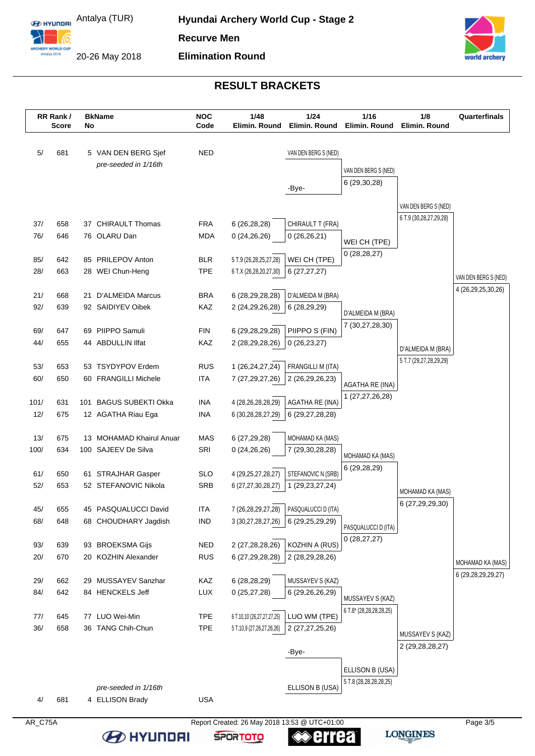**E** HYUNDRI Antalya (TUR)

6 CHERY WORLD CUR<br>Antalya 2018

20-26 May 2018



# **RESULT BRACKETS**

|            | RR Rank/<br><b>Score</b> | No | <b>BkName</b>                             | <b>NOC</b><br>Code       | 1/48<br>Elimin. Round                         | 1/24<br>Elimin. Round      | 1/16<br>Elimin. Round         | 1/8<br>Elimin. Round       | Quarterfinals          |
|------------|--------------------------|----|-------------------------------------------|--------------------------|-----------------------------------------------|----------------------------|-------------------------------|----------------------------|------------------------|
| 5/         | 681                      |    | 5 VAN DEN BERG Sjef                       | <b>NED</b>               |                                               | VAN DEN BERG S (NED)       |                               |                            |                        |
|            |                          |    | pre-seeded in 1/16th                      |                          |                                               |                            | VAN DEN BERG S (NED)          |                            |                        |
|            |                          |    |                                           |                          |                                               |                            | 6 (29,30,28)                  |                            |                        |
|            |                          |    |                                           |                          |                                               | -Bye-                      |                               |                            |                        |
|            |                          |    |                                           |                          |                                               |                            |                               | VAN DEN BERG S (NED)       |                        |
| 37/        | 658                      |    | 37 CHIRAULT Thomas                        | <b>FRA</b>               | 6(26, 28, 28)                                 | CHIRAULT T (FRA)           |                               | 6 T.9 (30, 28, 27, 29, 28) |                        |
| 76/        | 646                      |    | 76 OLARU Dan                              | MDA                      | 0(24,26,26)                                   | 0(26,26,21)                |                               |                            |                        |
|            |                          |    |                                           |                          |                                               |                            | WEI CH (TPE)<br>0(28, 28, 27) |                            |                        |
| 85/        | 642                      |    | 85 PRILEPOV Anton                         | <b>BLR</b>               | 5 T.9 (26,28,25,27,28)                        | WEI CH (TPE)               |                               |                            |                        |
| 28/        | 663                      |    | 28 WEI Chun-Heng                          | <b>TPE</b>               | 6 T.X (26,28,20,27,30)                        | 6(27, 27, 27)              |                               |                            | VAN DEN BERG S (NED)   |
| 21/        | 668                      |    | 21 D'ALMEIDA Marcus                       | <b>BRA</b>               | 6 (28,29,28,28)                               | D'ALMEIDA M (BRA)          |                               |                            | 4 (26,29,25,30,26)     |
| 92/        | 639                      |    | 92 SAIDIYEV Oibek                         | KAZ                      | 2 (24, 29, 26, 28)                            | 6 (28,29,29)               |                               |                            |                        |
|            |                          |    |                                           |                          |                                               |                            | D'ALMEIDA M (BRA)             |                            |                        |
| 69/        | 647                      |    | 69 PIIPPO Samuli                          | <b>FIN</b>               | 6 (29,28,29,28)                               | PIIPPO S (FIN)             | 7 (30,27,28,30)               |                            |                        |
| 44/        | 655                      |    | 44 ABDULLIN IIfat                         | KAZ                      | 2 (28,29,28,26)                               | 0(26, 23, 27)              |                               | D'ALMEIDA M (BRA)          |                        |
|            |                          |    |                                           |                          |                                               |                            |                               | 5 T.7 (29,27,28,29,29)     |                        |
| 53/<br>60/ | 653<br>650               |    | 53 TSYDYPOV Erdem<br>60 FRANGILLI Michele | <b>RUS</b><br><b>ITA</b> | 1 (26, 24, 27, 24)                            | FRANGILLI M (ITA)          |                               |                            |                        |
|            |                          |    |                                           |                          | 7 (27, 29, 27, 26)                            | 2 (26,29,26,23)            | AGATHA RE (INA)               |                            |                        |
| 101/       | 631                      |    | 101 BAGUS SUBEKTI Okka                    | <b>INA</b>               | 4 (28,26,28,28,29)                            | <b>AGATHA RE (INA)</b>     | 1 (27,27,26,28)               |                            |                        |
| 12/        | 675                      |    | 12 AGATHA Riau Ega                        | <b>INA</b>               | 6 (30,28,28,27,29)                            | 6 (29,27,28,28)            |                               |                            |                        |
|            |                          |    |                                           |                          |                                               |                            |                               |                            |                        |
| 13/        | 675                      |    | 13 MOHAMAD Khairul Anuar                  | <b>MAS</b>               | 6 (27,29,28)                                  | MOHAMAD KA (MAS)           |                               |                            |                        |
| 100/       | 634                      |    | 100 SAJEEV De Silva                       | SRI                      | 0(24,26,26)                                   | 7 (29,30,28,28)            | MOHAMAD KA (MAS)              |                            |                        |
| 61/        | 650                      |    | 61 STRAJHAR Gasper                        | <b>SLO</b>               | 4 (29, 25, 27, 28, 27)                        | STEFANOVIC N (SRB)         | 6 (29,28,29)                  |                            |                        |
| 52/        | 653                      |    | 52 STEFANOVIC Nikola                      | <b>SRB</b>               | 6 (27,27,30,28,27)                            | 1 (29, 23, 27, 24)         |                               |                            |                        |
|            |                          |    |                                           |                          |                                               |                            |                               | MOHAMAD KA (MAS)           |                        |
| 45/        | 655                      | 45 | PASQUALUCCI David                         | <b>ITA</b>               | 7 (26,28,29,27,28)                            | <b>PASQUALUCCI D (ITA)</b> |                               | 6 (27,29,29,30)            |                        |
| 68/        | 648                      |    | 68 CHOUDHARY Jagdish                      | <b>IND</b>               | 3 (30,27,28,27,26)                            | 6 (29,25,29,29)            | PASQUALUCCI D (ITA)           |                            |                        |
|            |                          |    |                                           |                          |                                               |                            | 0(28, 27, 27)                 |                            |                        |
| 93/        | 639                      |    | 93 BROEKSMA Gijs                          | <b>NED</b>               | 2 (27,28,28,26)                               | KOZHIN A (RUS)             |                               |                            |                        |
| 20/        | 670                      | 20 | KOZHIN Alexander                          | <b>RUS</b>               | 6 (27,29,28,28)                               | 2 (28,29,28,26)            |                               |                            | MOHAMAD KA (MAS)       |
| 29/        | 662                      |    | 29 MUSSAYEV Sanzhar                       | KAZ                      | 6(28, 28, 29)                                 | MUSSAYEV S (KAZ)           |                               |                            | 6 (29, 28, 29, 29, 27) |
| 84/        | 642                      |    | 84 HENCKELS Jeff                          | LUX                      | 0(25, 27, 28)                                 | 6 (29,26,26,29)            |                               |                            |                        |
|            |                          |    |                                           |                          |                                               |                            | MUSSAYEV S (KAZ)              |                            |                        |
| 77/        | 645                      |    | 77 LUO Wei-Min                            | <b>TPE</b>               | 6 T.10,10 (26,27,27,27,25)                    | LUO WM (TPE)               | 6 T.8* (28,28,28,28,25)       |                            |                        |
| 36/        | 658                      |    | 36 TANG Chih-Chun                         | <b>TPE</b>               | 5 T.10,9 (27,26,27,26,26)                     | 2 (27,27,25,26)            |                               | MUSSAYEV S (KAZ)           |                        |
|            |                          |    |                                           |                          |                                               |                            |                               | 2 (29, 28, 28, 27)         |                        |
|            |                          |    |                                           |                          |                                               | -Bye-                      |                               |                            |                        |
|            |                          |    |                                           |                          |                                               |                            | ELLISON B (USA)               |                            |                        |
|            |                          |    | pre-seeded in 1/16th                      |                          |                                               | ELLISON B (USA)            | 5 T.8 (28,28,28,28,25)        |                            |                        |
| 4/         | 681                      |    | 4 ELLISON Brady                           | <b>USA</b>               |                                               |                            |                               |                            |                        |
|            |                          |    |                                           |                          |                                               |                            |                               |                            |                        |
| AR_C75A    |                          |    |                                           |                          | Report Created: 26 May 2018 13:53 @ UTC+01:00 |                            |                               |                            | Page 3/5               |

**Serrea EXPLAINATION SPORTOTO**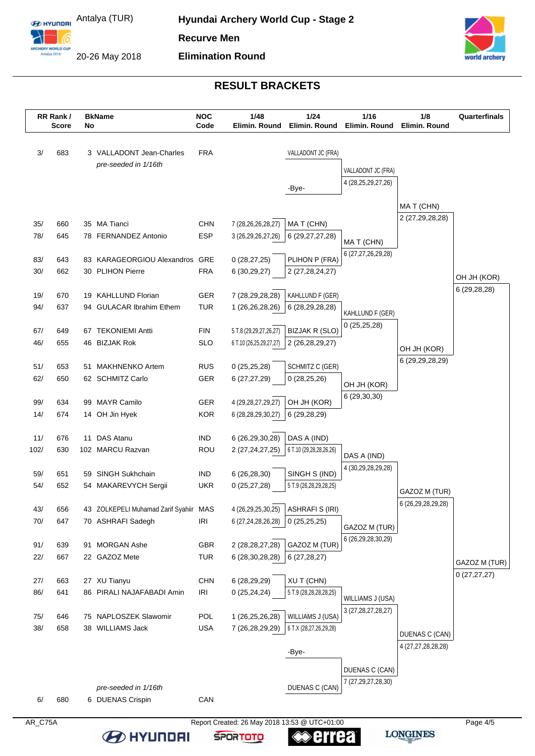**E** HYUNDELLAND Antalya (TUR)

6

ARCHERY WORLD CUP

20-26 May 2018

**EXPLAINATION** 



# **RESULT BRACKETS**

|            | RR Rank/<br><b>Score</b> | No | <b>BkName</b>                                               | <b>NOC</b><br>Code | 1/48<br>Elimin. Round                         | 1/24<br>Elimin. Round              | 1/16<br>Elimin. Round             | 1/8<br>Elimin. Round | Quarterfinals               |
|------------|--------------------------|----|-------------------------------------------------------------|--------------------|-----------------------------------------------|------------------------------------|-----------------------------------|----------------------|-----------------------------|
| 3/         | 683                      |    | 3 VALLADONT Jean-Charles                                    | <b>FRA</b>         |                                               | VALLADONT JC (FRA)                 |                                   |                      |                             |
|            |                          |    | pre-seeded in 1/16th                                        |                    |                                               |                                    |                                   |                      |                             |
|            |                          |    |                                                             |                    |                                               |                                    | VALLADONT JC (FRA)                |                      |                             |
|            |                          |    |                                                             |                    |                                               | -Bye-                              | 4 (28,25,29,27,26)                |                      |                             |
|            |                          |    |                                                             |                    |                                               |                                    |                                   | MAT (CHN)            |                             |
|            |                          |    |                                                             |                    |                                               |                                    |                                   | 2 (27,29,28,28)      |                             |
| 35/        | 660                      |    | 35 MA Tianci<br>78 FERNANDEZ Antonio                        | <b>CHN</b>         | 7 (28,26,26,28,27)                            | MAT (CHN)                          |                                   |                      |                             |
| 78/        | 645                      |    |                                                             | <b>ESP</b>         | 3 (26,29,26,27,26)                            | 6 (29,27,27,28)                    | MAT (CHN)                         |                      |                             |
| 83/        | 643                      |    | 83 KARAGEORGIOU Alexandros                                  | GRE                | 0(28, 27, 25)                                 | PLIHON P (FRA)                     | 6 (27,27,26,29,28)                |                      |                             |
| 30/        | 662                      |    | 30 PLIHON Pierre                                            | <b>FRA</b>         | 6(30,29,27)                                   | 2 (27, 28, 24, 27)                 |                                   |                      |                             |
|            |                          |    |                                                             |                    |                                               |                                    |                                   |                      | OH JH (KOR)<br>6 (29,28,28) |
| 19/        | 670                      |    | 19 KAHLLUND Florian                                         | GER                | 7 (28,29,28,28)                               | KAHLLUND F (GER)                   |                                   |                      |                             |
| 94/        | 637                      |    | 94 GULACAR Ibrahim Ethem                                    | <b>TUR</b>         | 1 (26,26,28,26)                               | 6 (28,29,28,28)                    | KAHLLUND F (GER)                  |                      |                             |
| 67/        | 649                      |    | 67 TEKONIEMI Antti                                          | <b>FIN</b>         | 5 T.8 (29,29,27,26,27)                        | <b>BIZJAK R (SLO)</b>              | 0(25,25,28)                       |                      |                             |
| 46/        | 655                      |    | 46 BIZJAK Rok                                               | <b>SLO</b>         | 6 T.10 (26,25,29,27,27)                       | 2 (26,28,29,27)                    |                                   |                      |                             |
|            |                          |    |                                                             |                    |                                               |                                    |                                   | OH JH (KOR)          |                             |
| 51/        | 653                      |    | 51 MAKHNENKO Artem                                          | <b>RUS</b>         | 0(25,25,28)                                   | SCHMITZ C (GER)                    |                                   | 6 (29, 29, 28, 29)   |                             |
| 62/        | 650                      |    | 62 SCHMITZ Carlo                                            | GER                | 6(27, 27, 29)                                 | 0(28, 25, 26)                      | OH JH (KOR)                       |                      |                             |
|            |                          |    |                                                             |                    |                                               |                                    | 6 (29,30,30)                      |                      |                             |
| 99/        | 634                      | 99 | <b>MAYR Camilo</b>                                          | GER                | 4 (29, 28, 27, 29, 27)                        | OH JH (KOR)                        |                                   |                      |                             |
| 14/        | 674                      |    | 14 OH Jin Hyek                                              | <b>KOR</b>         | 6 (28,28,29,30,27)                            | 6 (29,28,29)                       |                                   |                      |                             |
| 11/        | 676                      |    | 11 DAS Atanu                                                | <b>IND</b>         | 6 (26,29,30,28)                               | DAS A (IND)                        |                                   |                      |                             |
| 102/       | 630                      |    | 102 MARCU Razvan                                            | <b>ROU</b>         | 2 (27, 24, 27, 25)                            | 6 T.10 (29,28,28,26,26)            |                                   |                      |                             |
|            |                          |    |                                                             |                    |                                               |                                    | DAS A (IND)<br>4 (30,29,28,29,28) |                      |                             |
| 59/        | 651                      | 59 | <b>SINGH Sukhchain</b>                                      | <b>IND</b>         | 6(26, 28, 30)                                 | SINGH S (IND)                      |                                   |                      |                             |
| 54/        | 652                      |    | 54 MAKAREVYCH Sergii                                        | <b>UKR</b>         | 0(25, 27, 28)                                 | 5 T.9 (26,28,29,28,25)             |                                   | GAZOZ M (TUR)        |                             |
|            |                          |    |                                                             |                    |                                               | 4 (26,29,25,30,25) ASHRAFI S (IRI) |                                   | 6 (26,29,28,29,28)   |                             |
| 43/<br>70/ | 656<br>647               |    | 43 ZOLKEPELI Muhamad Zarif Syahiir MAS<br>70 ASHRAFI Sadegh | <b>IRI</b>         | 6 (27,24,28,26,28)                            | 0(25, 25, 25)                      |                                   |                      |                             |
|            |                          |    |                                                             |                    |                                               |                                    | GAZOZ M (TUR)                     |                      |                             |
| 91/        | 639                      |    | 91 MORGAN Ashe                                              | GBR                | 2 (28,28,27,28)                               | GAZOZ M (TUR)                      | 6 (26,29,28,30,29)                |                      |                             |
| 22/        | 667                      |    | 22 GAZOZ Mete                                               | <b>TUR</b>         | 6 (28,30,28,28)                               | 6(27, 28, 27)                      |                                   |                      | GAZOZ M (TUR)               |
|            |                          |    |                                                             |                    |                                               |                                    |                                   |                      | 0(27, 27, 27)               |
| 27/        | 663                      |    | 27 XU Tianyu                                                | <b>CHN</b>         | 6 (28,29,29)                                  | <b>XUT (CHN)</b>                   |                                   |                      |                             |
| 86/        | 641                      |    | 86 PIRALI NAJAFABADI Amin                                   | <b>IRI</b>         | 0(25, 24, 24)                                 | 5 T.9 (28,28,28,28,25)             | WILLIAMS J (USA)                  |                      |                             |
| 75/        | 646                      |    | 75 NAPLOSZEK Slawomir                                       | POL                | 1 (26,25,26,28)                               | WILLIAMS J (USA)                   | 3 (27, 28, 27, 28, 27)            |                      |                             |
| 38/        | 658                      |    | 38 WILLIAMS Jack                                            | <b>USA</b>         | 7 (26,28,29,29)                               | 6 T.X (28,27,26,29,28)             |                                   |                      |                             |
|            |                          |    |                                                             |                    |                                               |                                    |                                   | DUENAS C (CAN)       |                             |
|            |                          |    |                                                             |                    |                                               | -Bye-                              |                                   | 4 (27,27,28,28,28)   |                             |
|            |                          |    |                                                             |                    |                                               |                                    | DUENAS C (CAN)                    |                      |                             |
|            |                          |    |                                                             |                    |                                               |                                    | 7 (27,29,27,28,30)                |                      |                             |
| 6/         | 680                      |    | pre-seeded in 1/16th                                        | CAN                |                                               | DUENAS C (CAN)                     |                                   |                      |                             |
|            |                          |    | 6 DUENAS Crispin                                            |                    |                                               |                                    |                                   |                      |                             |
| AR_C75A    |                          |    |                                                             |                    | Report Created: 26 May 2018 13:53 @ UTC+01:00 |                                    |                                   |                      | Page 4/5                    |

**Serrea** 

**SPORTOTO**